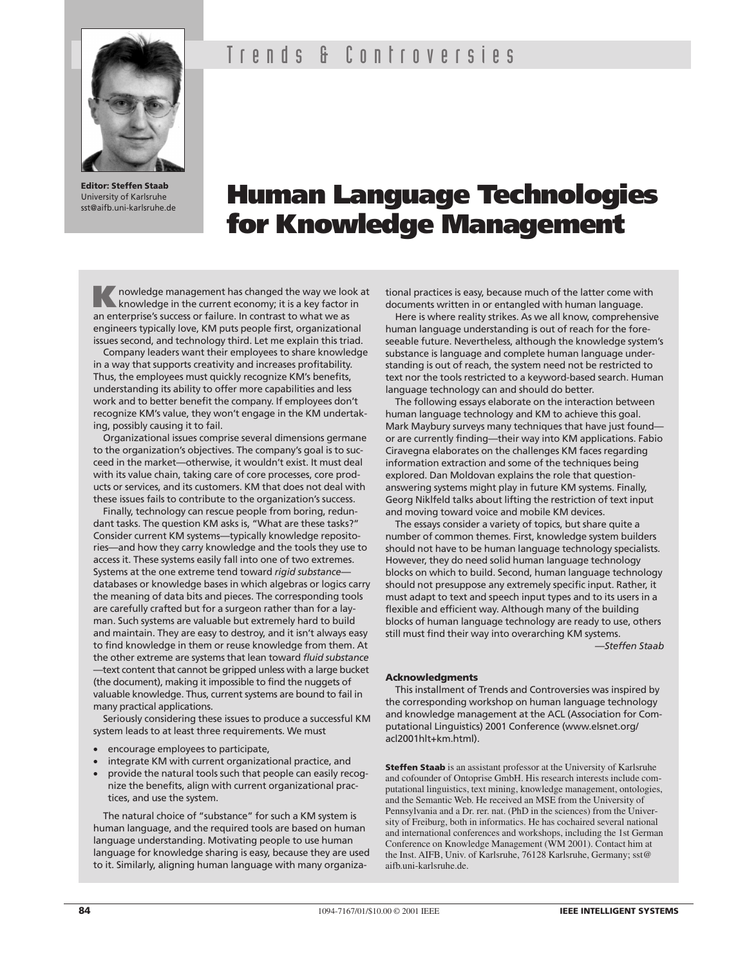

**Editor: Steffen Staab**  University of Karlsruhe sst@aifb.uni-karlsruhe.de

# Trends & Controversies

# **Human Language Technologies for Knowledge Management**

**K**<br>**K**nowledge in the current economy; it is a key factor in<br>the current economy; it is a key factor in an enterprise's success or failure. In contrast to what we as engineers typically love, KM puts people first, organizational issues second, and technology third. Let me explain this triad.

Company leaders want their employees to share knowledge in a way that supports creativity and increases profitability. Thus, the employees must quickly recognize KM's benefits, understanding its ability to offer more capabilities and less work and to better benefit the company. If employees don't recognize KM's value, they won't engage in the KM undertaking, possibly causing it to fail.

Organizational issues comprise several dimensions germane to the organization's objectives. The company's goal is to succeed in the market—otherwise, it wouldn't exist. It must deal with its value chain, taking care of core processes, core products or services, and its customers. KM that does not deal with these issues fails to contribute to the organization's success.

Finally, technology can rescue people from boring, redundant tasks. The question KM asks is, "What are these tasks?" Consider current KM systems—typically knowledge repositories—and how they carry knowledge and the tools they use to access it. These systems easily fall into one of two extremes. Systems at the one extreme tend toward *rigid substance* databases or knowledge bases in which algebras or logics carry the meaning of data bits and pieces. The corresponding tools are carefully crafted but for a surgeon rather than for a layman. Such systems are valuable but extremely hard to build and maintain. They are easy to destroy, and it isn't always easy to find knowledge in them or reuse knowledge from them. At the other extreme are systems that lean toward *fluid substance* —text content that cannot be gripped unless with a large bucket (the document), making it impossible to find the nuggets of valuable knowledge. Thus, current systems are bound to fail in many practical applications.

Seriously considering these issues to produce a successful KM system leads to at least three requirements. We must

- encourage employees to participate,
- integrate KM with current organizational practice, and
- provide the natural tools such that people can easily recognize the benefits, align with current organizational practices, and use the system.

The natural choice of "substance" for such a KM system is human language, and the required tools are based on human language understanding. Motivating people to use human language for knowledge sharing is easy, because they are used to it. Similarly, aligning human language with many organizational practices is easy, because much of the latter come with documents written in or entangled with human language.

Here is where reality strikes. As we all know, comprehensive human language understanding is out of reach for the foreseeable future. Nevertheless, although the knowledge system's substance is language and complete human language understanding is out of reach, the system need not be restricted to text nor the tools restricted to a keyword-based search. Human language technology can and should do better.

The following essays elaborate on the interaction between human language technology and KM to achieve this goal. Mark Maybury surveys many techniques that have just found or are currently finding—their way into KM applications. Fabio Ciravegna elaborates on the challenges KM faces regarding information extraction and some of the techniques being explored. Dan Moldovan explains the role that questionanswering systems might play in future KM systems. Finally, Georg Niklfeld talks about lifting the restriction of text input and moving toward voice and mobile KM devices.

The essays consider a variety of topics, but share quite a number of common themes. First, knowledge system builders should not have to be human language technology specialists. However, they do need solid human language technology blocks on which to build. Second, human language technology should not presuppose any extremely specific input. Rather, it must adapt to text and speech input types and to its users in a flexible and efficient way. Although many of the building blocks of human language technology are ready to use, others still must find their way into overarching KM systems.

#### *—Steffen Staab*

#### **Acknowledgments**

This installment of Trends and Controversies was inspired by the corresponding workshop on human language technology and knowledge management at the ACL (Association for Computational Linguistics) 2001 Conference (www.elsnet.org/ acl2001hlt+km.html).

**Steffen Staab** is an assistant professor at the University of Karlsruhe and cofounder of Ontoprise GmbH. His research interests include computational linguistics, text mining, knowledge management, ontologies, and the Semantic Web. He received an MSE from the University of Pennsylvania and a Dr. rer. nat. (PhD in the sciences) from the University of Freiburg, both in informatics. He has cochaired several national and international conferences and workshops, including the 1st German Conference on Knowledge Management (WM 2001). Contact him at the Inst. AIFB, Univ. of Karlsruhe, 76128 Karlsruhe, Germany; sst@ aifb.uni-karlsruhe.de.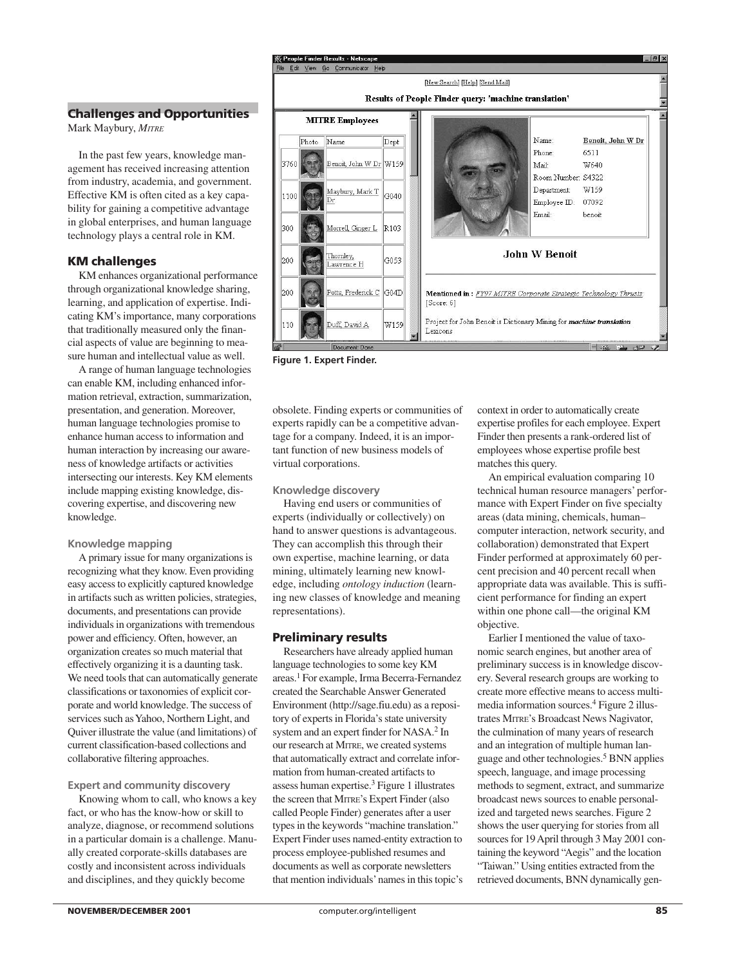

**Figure 1. Expert Finder.**

obsolete. Finding experts or communities of experts rapidly can be a competitive advantage for a company. Indeed, it is an important function of new business models of virtual corporations.

#### **Knowledge discovery**

Having end users or communities of experts (individually or collectively) on hand to answer questions is advantageous. They can accomplish this through their own expertise, machine learning, or data mining, ultimately learning new knowledge, including *ontology induction* (learning new classes of knowledge and meaning representations).

## **Preliminary results**

Researchers have already applied human language technologies to some key KM areas.1 For example, Irma Becerra-Fernandez created the Searchable Answer Generated Environment (http://sage.fiu.edu) as a repository of experts in Florida's state university system and an expert finder for NASA.2 In our research at MITRE, we created systems that automatically extract and correlate information from human-created artifacts to assess human expertise.3 Figure 1 illustrates the screen that MITRE's Expert Finder (also called People Finder) generates after a user types in the keywords "machine translation." Expert Finder uses named-entity extraction to process employee-published resumes and documents as well as corporate newsletters that mention individuals'names in this topic's context in order to automatically create expertise profiles for each employee. Expert Finder then presents a rank-ordered list of employees whose expertise profile best matches this query.

An empirical evaluation comparing 10 technical human resource managers' performance with Expert Finder on five specialty areas (data mining, chemicals, human– computer interaction, network security, and collaboration) demonstrated that Expert Finder performed at approximately 60 percent precision and 40 percent recall when appropriate data was available. This is sufficient performance for finding an expert within one phone call—the original KM objective.

Earlier I mentioned the value of taxonomic search engines, but another area of preliminary success is in knowledge discovery. Several research groups are working to create more effective means to access multimedia information sources.4 Figure 2 illustrates MITRE's Broadcast News Nagivator, the culmination of many years of research and an integration of multiple human language and other technologies.5 BNN applies speech, language, and image processing methods to segment, extract, and summarize broadcast news sources to enable personalized and targeted news searches. Figure 2 shows the user querying for stories from all sources for 19 April through 3 May 2001 containing the keyword "Aegis" and the location "Taiwan." Using entities extracted from the retrieved documents, BNN dynamically gen-

# **Challenges and Opportunities**

Mark Maybury, *MITRE*

In the past few years, knowledge management has received increasing attention from industry, academia, and government. Effective KM is often cited as a key capability for gaining a competitive advantage in global enterprises, and human language technology plays a central role in KM.

# **KM challenges**

KM enhances organizational performance through organizational knowledge sharing, learning, and application of expertise. Indicating KM's importance, many corporations that traditionally measured only the financial aspects of value are beginning to measure human and intellectual value as well.

A range of human language technologies can enable KM, including enhanced information retrieval, extraction, summarization, presentation, and generation. Moreover, human language technologies promise to enhance human access to information and human interaction by increasing our awareness of knowledge artifacts or activities intersecting our interests. Key KM elements include mapping existing knowledge, discovering expertise, and discovering new knowledge.

## **Knowledge mapping**

A primary issue for many organizations is recognizing what they know. Even providing easy access to explicitly captured knowledge in artifacts such as written policies, strategies, documents, and presentations can provide individuals in organizations with tremendous power and efficiency. Often, however, an organization creates so much material that effectively organizing it is a daunting task. We need tools that can automatically generate classifications or taxonomies of explicit corporate and world knowledge. The success of services such as Yahoo, Northern Light, and Quiver illustrate the value (and limitations) of current classification-based collections and collaborative filtering approaches.

## **Expert and community discovery**

Knowing whom to call, who knows a key fact, or who has the know-how or skill to analyze, diagnose, or recommend solutions in a particular domain is a challenge. Manually created corporate-skills databases are costly and inconsistent across individuals and disciplines, and they quickly become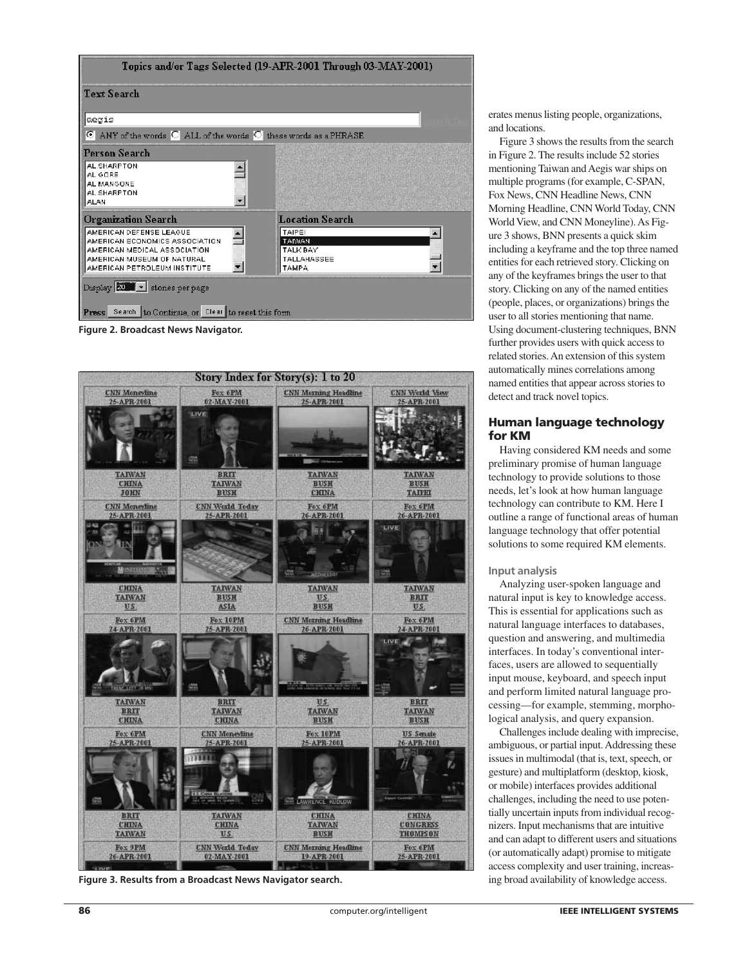

**Figure 2. Broadcast News Navigator.**



**Figure 3. Results from a Broadcast News Navigator search.**

erates menus listing people, organizations, and locations.

Figure 3 shows the results from the search in Figure 2. The results include 52 stories mentioning Taiwan and Aegis war ships on multiple programs (for example, C-SPAN, Fox News, CNN Headline News, CNN Morning Headline, CNN World Today, CNN World View, and CNN Moneyline). As Figure 3 shows, BNN presents a quick skim including a keyframe and the top three named entities for each retrieved story. Clicking on any of the keyframes brings the user to that story. Clicking on any of the named entities (people, places, or organizations) brings the user to all stories mentioning that name. Using document-clustering techniques, BNN further provides users with quick access to related stories. An extension of this system automatically mines correlations among named entities that appear across stories to detect and track novel topics.

### **Human language technology for KM**

Having considered KM needs and some preliminary promise of human language technology to provide solutions to those needs, let's look at how human language technology can contribute to KM. Here I outline a range of functional areas of human language technology that offer potential solutions to some required KM elements.

## **Input analysis**

Analyzing user-spoken language and natural input is key to knowledge access. This is essential for applications such as natural language interfaces to databases, question and answering, and multimedia interfaces. In today's conventional interfaces, users are allowed to sequentially input mouse, keyboard, and speech input and perform limited natural language processing––for example, stemming, morphological analysis, and query expansion.

Challenges include dealing with imprecise, ambiguous, or partial input. Addressing these issues in multimodal (that is, text, speech, or gesture) and multiplatform (desktop, kiosk, or mobile) interfaces provides additional challenges, including the need to use potentially uncertain inputs from individual recognizers. Input mechanisms that are intuitive and can adapt to different users and situations (or automatically adapt) promise to mitigate access complexity and user training, increasing broad availability of knowledge access.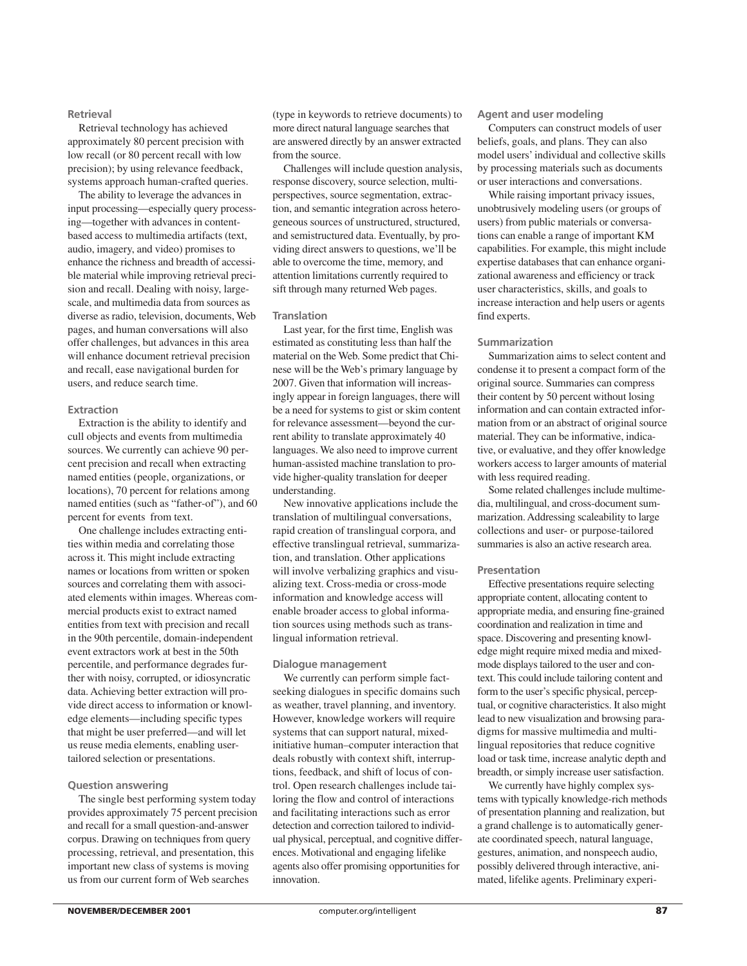#### **Retrieval**

Retrieval technology has achieved approximately 80 percent precision with low recall (or 80 percent recall with low precision); by using relevance feedback, systems approach human-crafted queries.

The ability to leverage the advances in input processing—especially query processing—together with advances in contentbased access to multimedia artifacts (text, audio, imagery, and video) promises to enhance the richness and breadth of accessible material while improving retrieval precision and recall. Dealing with noisy, largescale, and multimedia data from sources as diverse as radio, television, documents, Web pages, and human conversations will also offer challenges, but advances in this area will enhance document retrieval precision and recall, ease navigational burden for users, and reduce search time.

#### **Extraction**

Extraction is the ability to identify and cull objects and events from multimedia sources. We currently can achieve 90 percent precision and recall when extracting named entities (people, organizations, or locations), 70 percent for relations among named entities (such as "father-of"), and 60 percent for events from text.

One challenge includes extracting entities within media and correlating those across it. This might include extracting names or locations from written or spoken sources and correlating them with associated elements within images. Whereas commercial products exist to extract named entities from text with precision and recall in the 90th percentile, domain-independent event extractors work at best in the 50th percentile, and performance degrades further with noisy, corrupted, or idiosyncratic data. Achieving better extraction will provide direct access to information or knowledge elements—including specific types that might be user preferred—and will let us reuse media elements, enabling usertailored selection or presentations.

#### **Question answering**

The single best performing system today provides approximately 75 percent precision and recall for a small question-and-answer corpus. Drawing on techniques from query processing, retrieval, and presentation, this important new class of systems is moving us from our current form of Web searches

(type in keywords to retrieve documents) to more direct natural language searches that are answered directly by an answer extracted from the source.

Challenges will include question analysis, response discovery, source selection, multiperspectives, source segmentation, extraction, and semantic integration across heterogeneous sources of unstructured, structured, and semistructured data. Eventually, by providing direct answers to questions, we'll be able to overcome the time, memory, and attention limitations currently required to sift through many returned Web pages.

#### **Translation**

Last year, for the first time, English was estimated as constituting less than half the material on the Web. Some predict that Chinese will be the Web's primary language by 2007. Given that information will increasingly appear in foreign languages, there will be a need for systems to gist or skim content for relevance assessment—beyond the current ability to translate approximately 40 languages. We also need to improve current human-assisted machine translation to provide higher-quality translation for deeper understanding.

New innovative applications include the translation of multilingual conversations, rapid creation of translingual corpora, and effective translingual retrieval, summarization, and translation. Other applications will involve verbalizing graphics and visualizing text. Cross-media or cross-mode information and knowledge access will enable broader access to global information sources using methods such as translingual information retrieval.

#### **Dialogue management**

We currently can perform simple factseeking dialogues in specific domains such as weather, travel planning, and inventory. However, knowledge workers will require systems that can support natural, mixedinitiative human–computer interaction that deals robustly with context shift, interruptions, feedback, and shift of locus of control. Open research challenges include tailoring the flow and control of interactions and facilitating interactions such as error detection and correction tailored to individual physical, perceptual, and cognitive differences. Motivational and engaging lifelike agents also offer promising opportunities for innovation.

#### **Agent and user modeling**

Computers can construct models of user beliefs, goals, and plans. They can also model users' individual and collective skills by processing materials such as documents or user interactions and conversations.

While raising important privacy issues, unobtrusively modeling users (or groups of users) from public materials or conversations can enable a range of important KM capabilities. For example, this might include expertise databases that can enhance organizational awareness and efficiency or track user characteristics, skills, and goals to increase interaction and help users or agents find experts.

#### **Summarization**

Summarization aims to select content and condense it to present a compact form of the original source. Summaries can compress their content by 50 percent without losing information and can contain extracted information from or an abstract of original source material. They can be informative, indicative, or evaluative, and they offer knowledge workers access to larger amounts of material with less required reading.

Some related challenges include multimedia, multilingual, and cross-document summarization. Addressing scaleability to large collections and user- or purpose-tailored summaries is also an active research area.

#### **Presentation**

Effective presentations require selecting appropriate content, allocating content to appropriate media, and ensuring fine-grained coordination and realization in time and space. Discovering and presenting knowledge might require mixed media and mixedmode displays tailored to the user and context. This could include tailoring content and form to the user's specific physical, perceptual, or cognitive characteristics. It also might lead to new visualization and browsing paradigms for massive multimedia and multilingual repositories that reduce cognitive load or task time, increase analytic depth and breadth, or simply increase user satisfaction.

We currently have highly complex systems with typically knowledge-rich methods of presentation planning and realization, but a grand challenge is to automatically generate coordinated speech, natural language, gestures, animation, and nonspeech audio, possibly delivered through interactive, animated, lifelike agents. Preliminary experi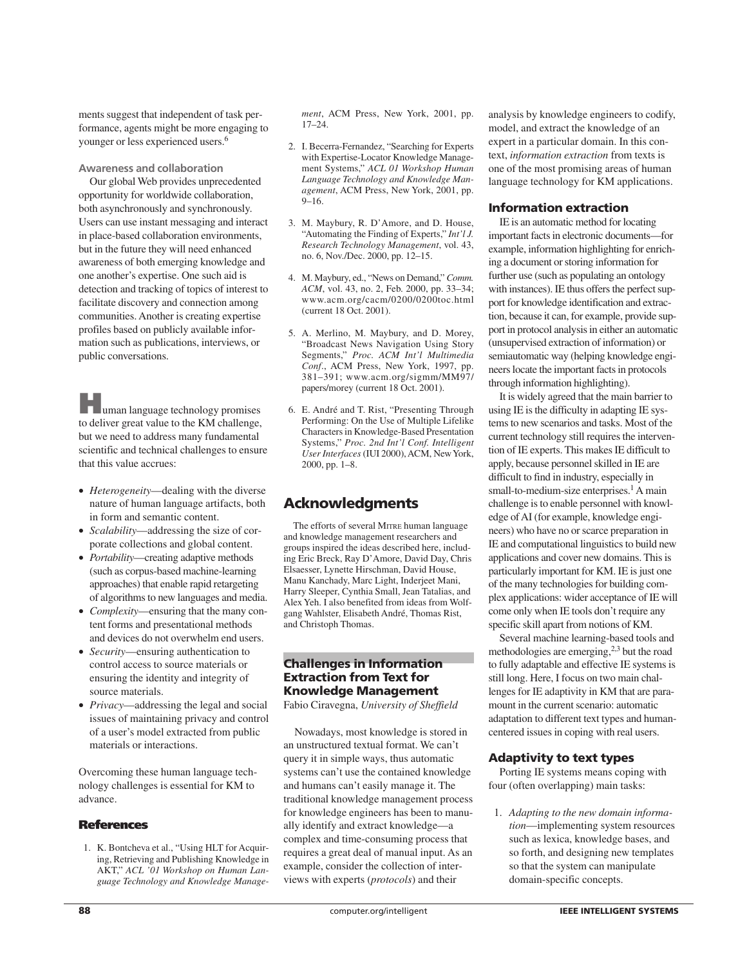ments suggest that independent of task performance, agents might be more engaging to younger or less experienced users.<sup>6</sup>

#### **Awareness and collaboration**

Our global Web provides unprecedented opportunity for worldwide collaboration, both asynchronously and synchronously. Users can use instant messaging and interact in place-based collaboration environments, but in the future they will need enhanced awareness of both emerging knowledge and one another's expertise. One such aid is detection and tracking of topics of interest to facilitate discovery and connection among communities. Another is creating expertise profiles based on publicly available information such as publications, interviews, or public conversations.

**H**uman language technology promises to deliver great value to the KM challenge, but we need to address many fundamental scientific and technical challenges to ensure that this value accrues:

- *Heterogeneity*—dealing with the diverse nature of human language artifacts, both in form and semantic content.
- *Scalability*—addressing the size of corporate collections and global content.
- *Portability*—creating adaptive methods (such as corpus-based machine-learning approaches) that enable rapid retargeting of algorithms to new languages and media.
- *Complexity*—ensuring that the many content forms and presentational methods and devices do not overwhelm end users.
- *Security*—ensuring authentication to control access to source materials or ensuring the identity and integrity of source materials.
- *Privacy*—addressing the legal and social issues of maintaining privacy and control of a user's model extracted from public materials or interactions.

Overcoming these human language technology challenges is essential for KM to advance.

## **References**

1. K. Bontcheva et al., "Using HLT for Acquiring, Retrieving and Publishing Knowledge in AKT," *ACL '01 Workshop on Human Language Technology and Knowledge Manage-* *ment*, ACM Press, New York, 2001, pp. 17–24.

- 2. I. Becerra-Fernandez, "Searching for Experts with Expertise-Locator Knowledge Management Systems," *ACL 01 Workshop Human Language Technology and Knowledge Management*, ACM Press, New York, 2001, pp.  $9 - 16$
- 3. M. Maybury, R. D'Amore, and D. House, "Automating the Finding of Experts," *Int'l J. Research Technology Management*, vol. 43, no. 6, Nov./Dec. 2000, pp. 12–15.
- 4. M. Maybury, ed., "News on Demand," *Comm. ACM*, vol. 43, no. 2, Feb. 2000, pp. 33–34; www.acm.org/cacm/0200/0200toc.html (current 18 Oct. 2001).
- 5. A. Merlino, M. Maybury, and D. Morey, "Broadcast News Navigation Using Story Segments," *Proc. ACM Int'l Multimedia Conf*., ACM Press, New York, 1997, pp. 381–391; www.acm.org/sigmm/MM97/ papers/morey (current 18 Oct. 2001).
- 6. E. André and T. Rist, "Presenting Through Performing: On the Use of Multiple Lifelike Characters in Knowledge-Based Presentation Systems," *Proc. 2nd Int'l Conf. Intelligent User Interfaces*(IUI 2000), ACM, New York, 2000, pp. 1–8.

# **Acknowledgments**

The efforts of several MITRE human language and knowledge management researchers and groups inspired the ideas described here, including Eric Breck, Ray D'Amore, David Day, Chris Elsaesser, Lynette Hirschman, David House, Manu Kanchady, Marc Light, Inderjeet Mani, Harry Sleeper, Cynthia Small, Jean Tatalias, and Alex Yeh. I also benefited from ideas from Wolfgang Wahlster, Elisabeth André, Thomas Rist, and Christoph Thomas.

## **Challenges in Information Extraction from Text for Knowledge Management**

Fabio Ciravegna, *University of Sheffield*

Nowadays, most knowledge is stored in an unstructured textual format. We can't query it in simple ways, thus automatic systems can't use the contained knowledge and humans can't easily manage it. The traditional knowledge management process for knowledge engineers has been to manually identify and extract knowledge—a complex and time-consuming process that requires a great deal of manual input. As an example, consider the collection of interviews with experts (*protocols*) and their

analysis by knowledge engineers to codify, model, and extract the knowledge of an expert in a particular domain. In this context, *information extraction* from texts is one of the most promising areas of human language technology for KM applications.

# **Information extraction**

IE is an automatic method for locating important facts in electronic documents—for example, information highlighting for enriching a document or storing information for further use (such as populating an ontology with instances). IE thus offers the perfect support for knowledge identification and extraction, because it can, for example, provide support in protocol analysis in either an automatic (unsupervised extraction of information) or semiautomatic way (helping knowledge engineers locate the important facts in protocols through information highlighting).

It is widely agreed that the main barrier to using IE is the difficulty in adapting IE systems to new scenarios and tasks. Most of the current technology still requires the intervention of IE experts. This makes IE difficult to apply, because personnel skilled in IE are difficult to find in industry, especially in small-to-medium-size enterprises.<sup>1</sup> A main challenge is to enable personnel with knowledge of AI (for example, knowledge engineers) who have no or scarce preparation in IE and computational linguistics to build new applications and cover new domains. This is particularly important for KM. IE is just one of the many technologies for building complex applications: wider acceptance of IE will come only when IE tools don't require any specific skill apart from notions of KM.

Several machine learning-based tools and methodologies are emerging,2,3 but the road to fully adaptable and effective IE systems is still long. Here, I focus on two main challenges for IE adaptivity in KM that are paramount in the current scenario: automatic adaptation to different text types and humancentered issues in coping with real users.

# **Adaptivity to text types**

Porting IE systems means coping with four (often overlapping) main tasks:

1. *Adapting to the new domain information*—implementing system resources such as lexica, knowledge bases, and so forth, and designing new templates so that the system can manipulate domain-specific concepts.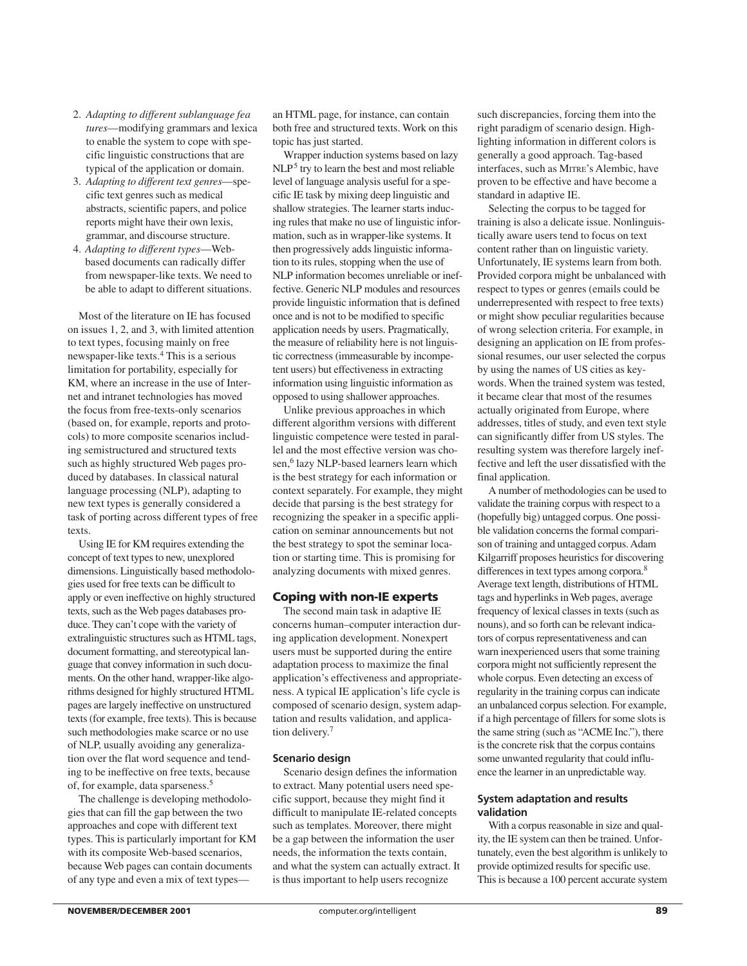- 2. *Adapting to different sublanguage fea tures*—modifying grammars and lexica to enable the system to cope with specific linguistic constructions that are typical of the application or domain.
- 3. *Adapting to different text genres*—specific text genres such as medical abstracts, scientific papers, and police reports might have their own lexis, grammar, and discourse structure.
- 4. *Adapting to different types*—Webbased documents can radically differ from newspaper-like texts. We need to be able to adapt to different situations.

Most of the literature on IE has focused on issues 1, 2, and 3, with limited attention to text types, focusing mainly on free newspaper-like texts.4 This is a serious limitation for portability, especially for KM, where an increase in the use of Internet and intranet technologies has moved the focus from free-texts-only scenarios (based on, for example, reports and protocols) to more composite scenarios including semistructured and structured texts such as highly structured Web pages produced by databases. In classical natural language processing (NLP), adapting to new text types is generally considered a task of porting across different types of free texts.

Using IE for KM requires extending the concept of text types to new, unexplored dimensions. Linguistically based methodologies used for free texts can be difficult to apply or even ineffective on highly structured texts, such as the Web pages databases produce. They can't cope with the variety of extralinguistic structures such as HTML tags, document formatting, and stereotypical language that convey information in such documents. On the other hand, wrapper-like algorithms designed for highly structured HTML pages are largely ineffective on unstructured texts (for example, free texts). This is because such methodologies make scarce or no use of NLP, usually avoiding any generalization over the flat word sequence and tending to be ineffective on free texts, because of, for example, data sparseness.5

The challenge is developing methodologies that can fill the gap between the two approaches and cope with different text types. This is particularly important for KM with its composite Web-based scenarios, because Web pages can contain documents of any type and even a mix of text typesan HTML page, for instance, can contain both free and structured texts. Work on this topic has just started.

Wrapper induction systems based on lazy NLP<sup>5</sup> try to learn the best and most reliable level of language analysis useful for a specific IE task by mixing deep linguistic and shallow strategies. The learner starts inducing rules that make no use of linguistic information, such as in wrapper-like systems. It then progressively adds linguistic information to its rules, stopping when the use of NLP information becomes unreliable or ineffective. Generic NLP modules and resources provide linguistic information that is defined once and is not to be modified to specific application needs by users. Pragmatically, the measure of reliability here is not linguistic correctness (immeasurable by incompetent users) but effectiveness in extracting information using linguistic information as opposed to using shallower approaches.

Unlike previous approaches in which different algorithm versions with different linguistic competence were tested in parallel and the most effective version was chosen,<sup>6</sup> lazy NLP-based learners learn which is the best strategy for each information or context separately. For example, they might decide that parsing is the best strategy for recognizing the speaker in a specific application on seminar announcements but not the best strategy to spot the seminar location or starting time. This is promising for analyzing documents with mixed genres.

# **Coping with non-IE experts**

The second main task in adaptive IE concerns human–computer interaction during application development. Nonexpert users must be supported during the entire adaptation process to maximize the final application's effectiveness and appropriateness. A typical IE application's life cycle is composed of scenario design, system adaptation and results validation, and application delivery.<sup>7</sup>

#### **Scenario design**

Scenario design defines the information to extract. Many potential users need specific support, because they might find it difficult to manipulate IE-related concepts such as templates. Moreover, there might be a gap between the information the user needs, the information the texts contain, and what the system can actually extract. It is thus important to help users recognize

such discrepancies, forcing them into the right paradigm of scenario design. Highlighting information in different colors is generally a good approach. Tag-based interfaces, such as MITRE's Alembic, have proven to be effective and have become a standard in adaptive IE.

Selecting the corpus to be tagged for training is also a delicate issue. Nonlinguistically aware users tend to focus on text content rather than on linguistic variety. Unfortunately, IE systems learn from both. Provided corpora might be unbalanced with respect to types or genres (emails could be underrepresented with respect to free texts) or might show peculiar regularities because of wrong selection criteria. For example, in designing an application on IE from professional resumes, our user selected the corpus by using the names of US cities as keywords. When the trained system was tested, it became clear that most of the resumes actually originated from Europe, where addresses, titles of study, and even text style can significantly differ from US styles. The resulting system was therefore largely ineffective and left the user dissatisfied with the final application.

A number of methodologies can be used to validate the training corpus with respect to a (hopefully big) untagged corpus. One possible validation concerns the formal comparison of training and untagged corpus. Adam Kilgarriff proposes heuristics for discovering differences in text types among corpora.8 Average text length, distributions of HTML tags and hyperlinks in Web pages, average frequency of lexical classes in texts (such as nouns), and so forth can be relevant indicators of corpus representativeness and can warn inexperienced users that some training corpora might not sufficiently represent the whole corpus. Even detecting an excess of regularity in the training corpus can indicate an unbalanced corpus selection. For example, if a high percentage of fillers for some slots is the same string (such as "ACME Inc."), there is the concrete risk that the corpus contains some unwanted regularity that could influence the learner in an unpredictable way.

# **System adaptation and results validation**

With a corpus reasonable in size and quality, the IE system can then be trained. Unfortunately, even the best algorithm is unlikely to provide optimized results for specific use. This is because a 100 percent accurate system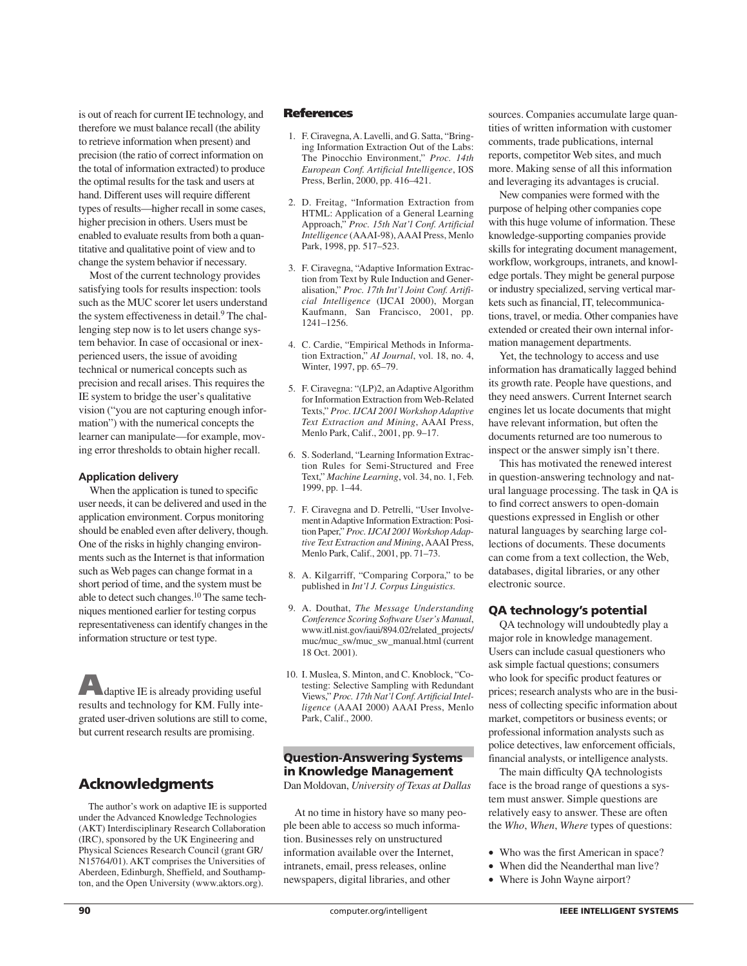is out of reach for current IE technology, and therefore we must balance recall (the ability to retrieve information when present) and precision (the ratio of correct information on the total of information extracted) to produce the optimal results for the task and users at hand. Different uses will require different types of results—higher recall in some cases, higher precision in others. Users must be enabled to evaluate results from both a quantitative and qualitative point of view and to change the system behavior if necessary.

Most of the current technology provides satisfying tools for results inspection: tools such as the MUC scorer let users understand the system effectiveness in detail.<sup>9</sup> The challenging step now is to let users change system behavior. In case of occasional or inexperienced users, the issue of avoiding technical or numerical concepts such as precision and recall arises. This requires the IE system to bridge the user's qualitative vision ("you are not capturing enough information") with the numerical concepts the learner can manipulate—for example, moving error thresholds to obtain higher recall.

#### **Application delivery**

When the application is tuned to specific user needs, it can be delivered and used in the application environment. Corpus monitoring should be enabled even after delivery, though. One of the risks in highly changing environments such as the Internet is that information such as Web pages can change format in a short period of time, and the system must be able to detect such changes.10 The same techniques mentioned earlier for testing corpus representativeness can identify changes in the information structure or test type.

**A**daptive IE is already providing useful results and technology for KM. Fully integrated user-driven solutions are still to come, but current research results are promising.

# **Acknowledgments**

The author's work on adaptive IE is supported under the Advanced Knowledge Technologies (AKT) Interdisciplinary Research Collaboration (IRC), sponsored by the UK Engineering and Physical Sciences Research Council (grant GR/ N15764/01). AKT comprises the Universities of Aberdeen, Edinburgh, Sheffield, and Southampton, and the Open University (www.aktors.org).

#### **References**

- 1. F. Ciravegna,A. Lavelli, and G. Satta, "Bringing Information Extraction Out of the Labs: The Pinocchio Environment," *Proc. 14th European Conf. Artificial Intelligence*, IOS Press, Berlin, 2000, pp. 416–421.
- 2. D. Freitag, "Information Extraction from HTML: Application of a General Learning Approach," *Proc. 15th Nat'l Conf. Artificial Intelligence* (AAAI-98), AAAI Press, Menlo Park, 1998, pp. 517–523.
- 3. F. Ciravegna, "Adaptive Information Extraction from Text by Rule Induction and Generalisation," *Proc. 17th Int'l Joint Conf. Artificial Intelligence* (IJCAI 2000), Morgan Kaufmann, San Francisco, 2001, pp. 1241–1256.
- 4. C. Cardie, "Empirical Methods in Information Extraction," *AI Journal*, vol. 18, no. 4, Winter, 1997, pp. 65–79.
- 5. F. Ciravegna: "(LP)2, an Adaptive Algorithm for Information Extraction from Web-Related Texts," *Proc. IJCAI 2001 Workshop Adaptive Text Extraction and Mining*, AAAI Press, Menlo Park, Calif., 2001, pp. 9–17.
- 6. S. Soderland, "Learning Information Extraction Rules for Semi-Structured and Free Text," *Machine Learning*, vol. 34, no. 1, Feb. 1999, pp. 1–44.
- 7. F. Ciravegna and D. Petrelli, "User Involvement in Adaptive Information Extraction: Position Paper," *Proc. IJCAI 2001 Workshop Adaptive Text Extraction and Mining*, AAAI Press, Menlo Park, Calif., 2001, pp. 71–73.
- 8. A. Kilgarriff, "Comparing Corpora," to be published in *Int'l J. Corpus Linguistics.*
- 9. A. Douthat, *The Message Understanding Conference Scoring Software User's Manual*, www.itl.nist.gov/iaui/894.02/related\_projects/ muc/muc\_sw/muc\_sw\_manual.html (current 18 Oct. 2001).
- 10. I. Muslea, S. Minton, and C. Knoblock, "Cotesting: Selective Sampling with Redundant Views," *Proc. 17th Nat'l Conf. Artificial Intelligence* (AAAI 2000) AAAI Press, Menlo Park, Calif., 2000.

# **Question-Answering Systems in Knowledge Management**

Dan Moldovan, *University of Texas at Dallas*

At no time in history have so many people been able to access so much information. Businesses rely on unstructured information available over the Internet, intranets, email, press releases, online newspapers, digital libraries, and other

sources. Companies accumulate large quantities of written information with customer comments, trade publications, internal reports, competitor Web sites, and much more. Making sense of all this information and leveraging its advantages is crucial.

New companies were formed with the purpose of helping other companies cope with this huge volume of information. These knowledge-supporting companies provide skills for integrating document management, workflow, workgroups, intranets, and knowledge portals. They might be general purpose or industry specialized, serving vertical markets such as financial, IT, telecommunications, travel, or media. Other companies have extended or created their own internal information management departments.

Yet, the technology to access and use information has dramatically lagged behind its growth rate. People have questions, and they need answers. Current Internet search engines let us locate documents that might have relevant information, but often the documents returned are too numerous to inspect or the answer simply isn't there.

This has motivated the renewed interest in question-answering technology and natural language processing. The task in QA is to find correct answers to open-domain questions expressed in English or other natural languages by searching large collections of documents. These documents can come from a text collection, the Web, databases, digital libraries, or any other electronic source.

## **QA technology's potential**

QA technology will undoubtedly play a major role in knowledge management. Users can include casual questioners who ask simple factual questions; consumers who look for specific product features or prices; research analysts who are in the business of collecting specific information about market, competitors or business events; or professional information analysts such as police detectives, law enforcement officials, financial analysts, or intelligence analysts.

The main difficulty QA technologists face is the broad range of questions a system must answer. Simple questions are relatively easy to answer. These are often the *Who*, *When*, *Where* types of questions:

- Who was the first American in space?
- When did the Neanderthal man live?
- Where is John Wayne airport?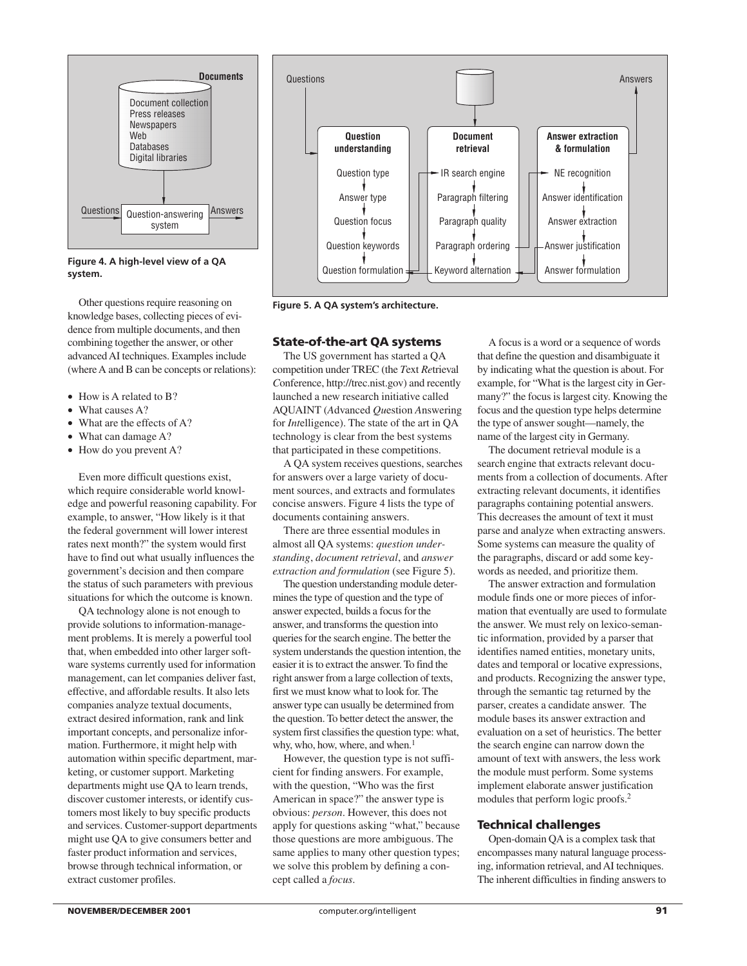

**Figure 4. A high-level view of a QA system.**

Other questions require reasoning on knowledge bases, collecting pieces of evidence from multiple documents, and then combining together the answer, or other advanced AI techniques. Examples include (where A and B can be concepts or relations):

- How is A related to B?
- What causes A?
- What are the effects of A?
- What can damage A?
- How do you prevent A?

Even more difficult questions exist, which require considerable world knowledge and powerful reasoning capability. For example, to answer, "How likely is it that the federal government will lower interest rates next month?" the system would first have to find out what usually influences the government's decision and then compare the status of such parameters with previous situations for which the outcome is known.

QA technology alone is not enough to provide solutions to information-management problems. It is merely a powerful tool that, when embedded into other larger software systems currently used for information management, can let companies deliver fast, effective, and affordable results. It also lets companies analyze textual documents, extract desired information, rank and link important concepts, and personalize information. Furthermore, it might help with automation within specific department, marketing, or customer support. Marketing departments might use QA to learn trends, discover customer interests, or identify customers most likely to buy specific products and services. Customer-support departments might use QA to give consumers better and faster product information and services, browse through technical information, or extract customer profiles.



**Figure 5. A QA system's architecture.**

# **State-of-the-art QA systems**

The US government has started a QA competition under TREC (the *T*ext *Re*trieval *C*onference, http://trec.nist.gov) and recently launched a new research initiative called AQUAINT (*A*dvanced *Qu*estion *A*nswering for *Int*elligence). The state of the art in QA technology is clear from the best systems that participated in these competitions.

A QA system receives questions, searches for answers over a large variety of document sources, and extracts and formulates concise answers. Figure 4 lists the type of documents containing answers.

There are three essential modules in almost all QA systems: *question understanding*, *document retrieval*, and *answer extraction and formulation* (see Figure 5).

The question understanding module determines the type of question and the type of answer expected, builds a focus for the answer, and transforms the question into queries for the search engine. The better the system understands the question intention, the easier it is to extract the answer. To find the right answer from a large collection of texts, first we must know what to look for. The answer type can usually be determined from the question. To better detect the answer, the system first classifies the question type: what, why, who, how, where, and when.<sup>1</sup>

However, the question type is not sufficient for finding answers. For example, with the question, "Who was the first American in space?" the answer type is obvious: *person*. However, this does not apply for questions asking "what," because those questions are more ambiguous. The same applies to many other question types; we solve this problem by defining a concept called a *focus*.

A focus is a word or a sequence of words that define the question and disambiguate it by indicating what the question is about. For example, for "What is the largest city in Germany?" the focus is largest city. Knowing the focus and the question type helps determine the type of answer sought—namely, the name of the largest city in Germany.

The document retrieval module is a search engine that extracts relevant documents from a collection of documents. After extracting relevant documents, it identifies paragraphs containing potential answers. This decreases the amount of text it must parse and analyze when extracting answers. Some systems can measure the quality of the paragraphs, discard or add some keywords as needed, and prioritize them.

The answer extraction and formulation module finds one or more pieces of information that eventually are used to formulate the answer. We must rely on lexico-semantic information, provided by a parser that identifies named entities, monetary units, dates and temporal or locative expressions, and products. Recognizing the answer type, through the semantic tag returned by the parser, creates a candidate answer. The module bases its answer extraction and evaluation on a set of heuristics. The better the search engine can narrow down the amount of text with answers, the less work the module must perform. Some systems implement elaborate answer justification modules that perform logic proofs.<sup>2</sup>

# **Technical challenges**

Open-domain QA is a complex task that encompasses many natural language processing, information retrieval, and AI techniques. The inherent difficulties in finding answers to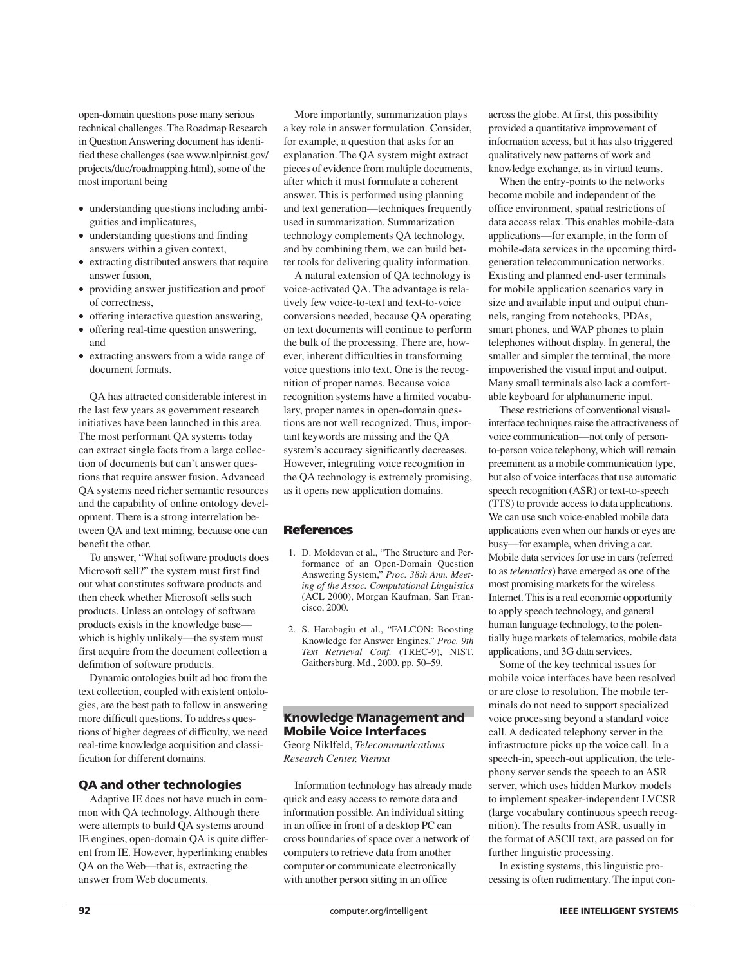open-domain questions pose many serious technical challenges. The Roadmap Research in Question Answering document has identified these challenges (see www.nlpir.nist.gov/ projects/duc/roadmapping.html), some of the most important being

- understanding questions including ambiguities and implicatures,
- understanding questions and finding answers within a given context,
- extracting distributed answers that require answer fusion,
- providing answer justification and proof of correctness,
- offering interactive question answering,
- offering real-time question answering, and
- extracting answers from a wide range of document formats.

QA has attracted considerable interest in the last few years as government research initiatives have been launched in this area. The most performant QA systems today can extract single facts from a large collection of documents but can't answer questions that require answer fusion. Advanced QA systems need richer semantic resources and the capability of online ontology development. There is a strong interrelation between QA and text mining, because one can benefit the other.

To answer, "What software products does Microsoft sell?" the system must first find out what constitutes software products and then check whether Microsoft sells such products. Unless an ontology of software products exists in the knowledge base which is highly unlikely—the system must first acquire from the document collection a definition of software products.

Dynamic ontologies built ad hoc from the text collection, coupled with existent ontologies, are the best path to follow in answering more difficult questions. To address questions of higher degrees of difficulty, we need real-time knowledge acquisition and classification for different domains.

## **QA and other technologies**

Adaptive IE does not have much in common with QA technology. Although there were attempts to build QA systems around IE engines, open-domain QA is quite different from IE. However, hyperlinking enables QA on the Web—that is, extracting the answer from Web documents.

More importantly, summarization plays a key role in answer formulation. Consider, for example, a question that asks for an explanation. The QA system might extract pieces of evidence from multiple documents, after which it must formulate a coherent answer. This is performed using planning and text generation—techniques frequently used in summarization. Summarization technology complements QA technology, and by combining them, we can build better tools for delivering quality information.

A natural extension of QA technology is voice-activated QA. The advantage is relatively few voice-to-text and text-to-voice conversions needed, because QA operating on text documents will continue to perform the bulk of the processing. There are, however, inherent difficulties in transforming voice questions into text. One is the recognition of proper names. Because voice recognition systems have a limited vocabulary, proper names in open-domain questions are not well recognized. Thus, important keywords are missing and the QA system's accuracy significantly decreases. However, integrating voice recognition in the QA technology is extremely promising, as it opens new application domains.

## **References**

- 1. D. Moldovan et al., "The Structure and Performance of an Open-Domain Question Answering System," *Proc. 38th Ann. Meeting of the Assoc. Computational Linguistics* (ACL 2000), Morgan Kaufman, San Francisco, 2000.
- 2. S. Harabagiu et al., "FALCON: Boosting Knowledge for Answer Engines," *Proc. 9th Text Retrieval Conf.* (TREC-9), NIST, Gaithersburg, Md., 2000, pp. 50–59.

# **Knowledge Management and Mobile Voice Interfaces**

Georg Niklfeld, *Telecommunications Research Center, Vienna*

Information technology has already made quick and easy access to remote data and information possible. An individual sitting in an office in front of a desktop PC can cross boundaries of space over a network of computers to retrieve data from another computer or communicate electronically with another person sitting in an office

across the globe. At first, this possibility provided a quantitative improvement of information access, but it has also triggered qualitatively new patterns of work and knowledge exchange, as in virtual teams.

When the entry-points to the networks become mobile and independent of the office environment, spatial restrictions of data access relax. This enables mobile-data applications—for example, in the form of mobile-data services in the upcoming thirdgeneration telecommunication networks. Existing and planned end-user terminals for mobile application scenarios vary in size and available input and output channels, ranging from notebooks, PDAs, smart phones, and WAP phones to plain telephones without display. In general, the smaller and simpler the terminal, the more impoverished the visual input and output. Many small terminals also lack a comfortable keyboard for alphanumeric input.

These restrictions of conventional visualinterface techniques raise the attractiveness of voice communication—not only of personto-person voice telephony, which will remain preeminent as a mobile communication type, but also of voice interfaces that use automatic speech recognition (ASR) or text-to-speech (TTS) to provide access to data applications. We can use such voice-enabled mobile data applications even when our hands or eyes are busy—for example, when driving a car. Mobile data services for use in cars (referred to as *telematics*) have emerged as one of the most promising markets for the wireless Internet. This is a real economic opportunity to apply speech technology, and general human language technology, to the potentially huge markets of telematics, mobile data applications, and 3G data services.

Some of the key technical issues for mobile voice interfaces have been resolved or are close to resolution. The mobile terminals do not need to support specialized voice processing beyond a standard voice call. A dedicated telephony server in the infrastructure picks up the voice call. In a speech-in, speech-out application, the telephony server sends the speech to an ASR server, which uses hidden Markov models to implement speaker-independent LVCSR (large vocabulary continuous speech recognition). The results from ASR, usually in the format of ASCII text, are passed on for further linguistic processing.

In existing systems, this linguistic processing is often rudimentary. The input con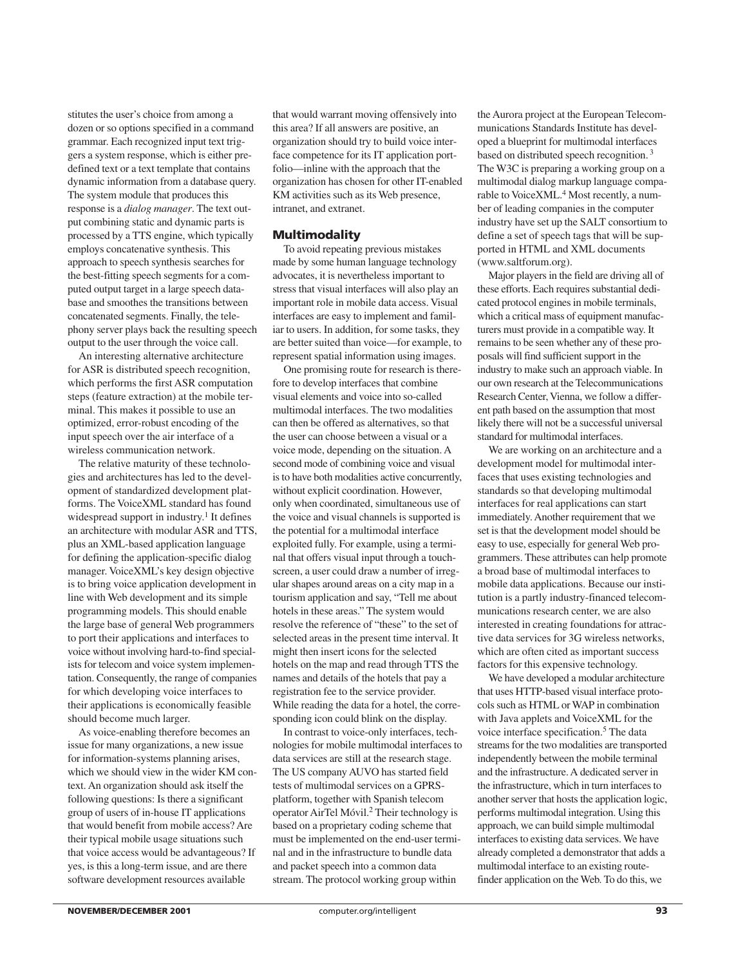stitutes the user's choice from among a dozen or so options specified in a command grammar. Each recognized input text triggers a system response, which is either predefined text or a text template that contains dynamic information from a database query. The system module that produces this response is a *dialog manager*. The text output combining static and dynamic parts is processed by a TTS engine, which typically employs concatenative synthesis. This approach to speech synthesis searches for the best-fitting speech segments for a computed output target in a large speech database and smoothes the transitions between concatenated segments. Finally, the telephony server plays back the resulting speech output to the user through the voice call.

An interesting alternative architecture for ASR is distributed speech recognition, which performs the first ASR computation steps (feature extraction) at the mobile terminal. This makes it possible to use an optimized, error-robust encoding of the input speech over the air interface of a wireless communication network.

The relative maturity of these technologies and architectures has led to the development of standardized development platforms. The VoiceXML standard has found widespread support in industry.<sup>1</sup> It defines an architecture with modular ASR and TTS, plus an XML-based application language for defining the application-specific dialog manager. VoiceXML's key design objective is to bring voice application development in line with Web development and its simple programming models. This should enable the large base of general Web programmers to port their applications and interfaces to voice without involving hard-to-find specialists for telecom and voice system implementation. Consequently, the range of companies for which developing voice interfaces to their applications is economically feasible should become much larger.

As voice-enabling therefore becomes an issue for many organizations, a new issue for information-systems planning arises, which we should view in the wider KM context. An organization should ask itself the following questions: Is there a significant group of users of in-house IT applications that would benefit from mobile access? Are their typical mobile usage situations such that voice access would be advantageous? If yes, is this a long-term issue, and are there software development resources available

that would warrant moving offensively into this area? If all answers are positive, an organization should try to build voice interface competence for its IT application portfolio—inline with the approach that the organization has chosen for other IT-enabled KM activities such as its Web presence, intranet, and extranet.

#### **Multimodality**

To avoid repeating previous mistakes made by some human language technology advocates, it is nevertheless important to stress that visual interfaces will also play an important role in mobile data access. Visual interfaces are easy to implement and familiar to users. In addition, for some tasks, they are better suited than voice—for example, to represent spatial information using images.

One promising route for research is therefore to develop interfaces that combine visual elements and voice into so-called multimodal interfaces. The two modalities can then be offered as alternatives, so that the user can choose between a visual or a voice mode, depending on the situation. A second mode of combining voice and visual is to have both modalities active concurrently, without explicit coordination. However, only when coordinated, simultaneous use of the voice and visual channels is supported is the potential for a multimodal interface exploited fully. For example, using a terminal that offers visual input through a touchscreen, a user could draw a number of irregular shapes around areas on a city map in a tourism application and say, "Tell me about hotels in these areas." The system would resolve the reference of "these" to the set of selected areas in the present time interval. It might then insert icons for the selected hotels on the map and read through TTS the names and details of the hotels that pay a registration fee to the service provider. While reading the data for a hotel, the corresponding icon could blink on the display.

In contrast to voice-only interfaces, technologies for mobile multimodal interfaces to data services are still at the research stage. The US company AUVO has started field tests of multimodal services on a GPRSplatform, together with Spanish telecom operator AirTel Móvil.2 Their technology is based on a proprietary coding scheme that must be implemented on the end-user terminal and in the infrastructure to bundle data and packet speech into a common data stream. The protocol working group within

the Aurora project at the European Telecommunications Standards Institute has developed a blueprint for multimodal interfaces based on distributed speech recognition.<sup>3</sup> The W3C is preparing a working group on a multimodal dialog markup language comparable to VoiceXML.<sup>4</sup> Most recently, a number of leading companies in the computer industry have set up the SALT consortium to define a set of speech tags that will be supported in HTML and XML documents (www.saltforum.org).

Major players in the field are driving all of these efforts. Each requires substantial dedicated protocol engines in mobile terminals, which a critical mass of equipment manufacturers must provide in a compatible way. It remains to be seen whether any of these proposals will find sufficient support in the industry to make such an approach viable. In our own research at the Telecommunications Research Center, Vienna, we follow a different path based on the assumption that most likely there will not be a successful universal standard for multimodal interfaces.

We are working on an architecture and a development model for multimodal interfaces that uses existing technologies and standards so that developing multimodal interfaces for real applications can start immediately. Another requirement that we set is that the development model should be easy to use, especially for general Web programmers. These attributes can help promote a broad base of multimodal interfaces to mobile data applications. Because our institution is a partly industry-financed telecommunications research center, we are also interested in creating foundations for attractive data services for 3G wireless networks, which are often cited as important success factors for this expensive technology.

We have developed a modular architecture that uses HTTP-based visual interface protocols such as HTML or WAP in combination with Java applets and VoiceXML for the voice interface specification.<sup>5</sup> The data streams for the two modalities are transported independently between the mobile terminal and the infrastructure. A dedicated server in the infrastructure, which in turn interfaces to another server that hosts the application logic, performs multimodal integration. Using this approach, we can build simple multimodal interfaces to existing data services. We have already completed a demonstrator that adds a multimodal interface to an existing routefinder application on the Web. To do this, we